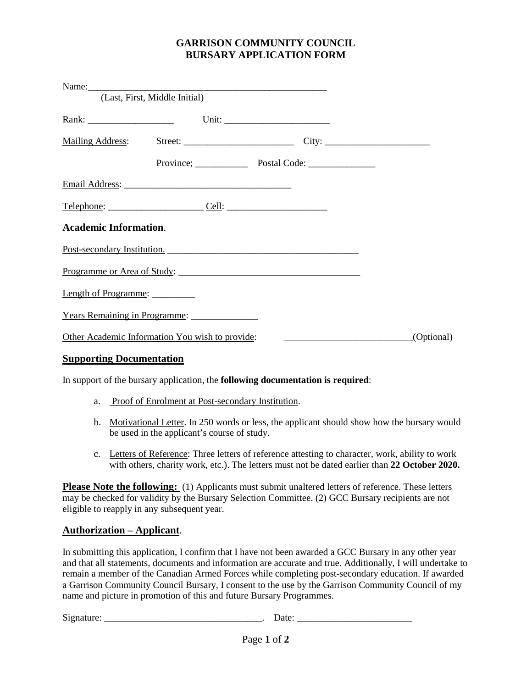# **GARRISON COMMUNITY COUNCIL BURSARY APPLICATION FORM**

|                              | (Last, First, Middle Initial)                   |                             |            |
|------------------------------|-------------------------------------------------|-----------------------------|------------|
|                              |                                                 |                             |            |
|                              |                                                 |                             |            |
|                              |                                                 |                             |            |
|                              |                                                 |                             |            |
|                              |                                                 |                             |            |
| <b>Academic Information.</b> |                                                 |                             |            |
|                              |                                                 | Post-secondary Institution. |            |
|                              |                                                 | Programme or Area of Study: |            |
| Length of Programme:         |                                                 |                             |            |
|                              | Years Remaining in Programme:                   |                             |            |
|                              | Other Academic Information You wish to provide: |                             | (Optional) |
|                              |                                                 |                             |            |

### **Supporting Documentation**

In support of the bursary application, the **following documentation is required**:

- a. Proof of Enrolment at Post-secondary Institution.
- b. Motivational Letter. In 250 words or less, the applicant should show how the bursary would be used in the applicant's course of study.
- c. Letters of Reference: Three letters of reference attesting to character, work, ability to work with others, charity work, etc.). The letters must not be dated earlier than **22 October 2020.**

**Please Note the following:** (1) Applicants must submit unaltered letters of reference. These letters may be checked for validity by the Bursary Selection Committee. (2) GCC Bursary recipients are not eligible to reapply in any subsequent year.

#### **Authorization – Applicant**.

In submitting this application, I confirm that I have not been awarded a GCC Bursary in any other year and that all statements, documents and information are accurate and true. Additionally, I will undertake to remain a member of the Canadian Armed Forces while completing post-secondary education. If awarded a Garrison Community Council Bursary, I consent to the use by the Garrison Community Council of my name and picture in promotion of this and future Bursary Programmes.

Signature: \_\_\_\_\_\_\_\_\_\_\_\_\_\_\_\_\_\_\_\_\_\_\_\_\_\_\_\_\_\_\_\_\_. Date: \_\_\_\_\_\_\_\_\_\_\_\_\_\_\_\_\_\_\_\_\_\_\_\_